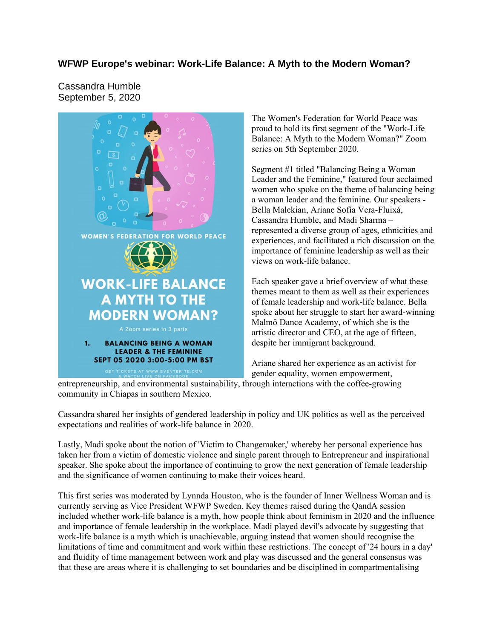## **WFWP Europe's webinar: Work-Life Balance: A Myth to the Modern Woman?**

Cassandra Humble September 5, 2020



The Women's Federation for World Peace was proud to hold its first segment of the "Work-Life Balance: A Myth to the Modern Woman?" Zoom series on 5th September 2020.

Segment #1 titled "Balancing Being a Woman Leader and the Feminine," featured four acclaimed women who spoke on the theme of balancing being a woman leader and the feminine. Our speakers - Bella Malekian, Ariane Sofía Vera-Fluixá, Cassandra Humble, and Madi Sharma – represented a diverse group of ages, ethnicities and experiences, and facilitated a rich discussion on the importance of feminine leadership as well as their views on work-life balance.

Each speaker gave a brief overview of what these themes meant to them as well as their experiences of female leadership and work-life balance. Bella spoke about her struggle to start her award-winning Malmö Dance Academy, of which she is the artistic director and CEO, at the age of fifteen, despite her immigrant background.

Ariane shared her experience as an activist for gender equality, women empowerment,

entrepreneurship, and environmental sustainability, through interactions with the coffee-growing community in Chiapas in southern Mexico.

Cassandra shared her insights of gendered leadership in policy and UK politics as well as the perceived expectations and realities of work-life balance in 2020.

Lastly, Madi spoke about the notion of 'Victim to Changemaker,' whereby her personal experience has taken her from a victim of domestic violence and single parent through to Entrepreneur and inspirational speaker. She spoke about the importance of continuing to grow the next generation of female leadership and the significance of women continuing to make their voices heard.

This first series was moderated by Lynnda Houston, who is the founder of Inner Wellness Woman and is currently serving as Vice President WFWP Sweden. Key themes raised during the QandA session included whether work-life balance is a myth, how people think about feminism in 2020 and the influence and importance of female leadership in the workplace. Madi played devil's advocate by suggesting that work-life balance is a myth which is unachievable, arguing instead that women should recognise the limitations of time and commitment and work within these restrictions. The concept of '24 hours in a day' and fluidity of time management between work and play was discussed and the general consensus was that these are areas where it is challenging to set boundaries and be disciplined in compartmentalising